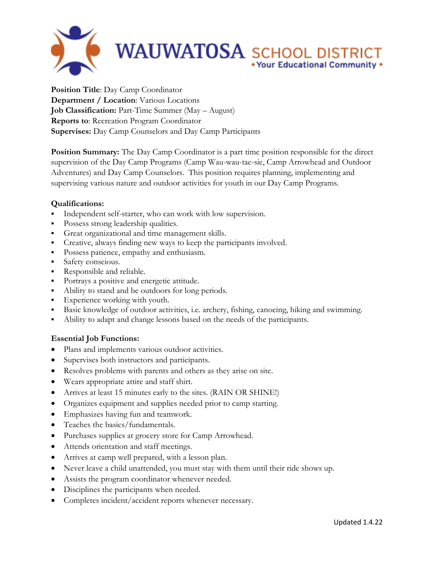

**Position Title**: Day Camp Coordinator **Department / Location**: Various Locations **Job Classification:** Part-Time Summer (May – August) **Reports to**: Recreation Program Coordinator **Supervises:** Day Camp Counselors and Day Camp Participants

**Position Summary:** The Day Camp Coordinator is a part time position responsible for the direct supervision of the Day Camp Programs (Camp Wau-wau-tae-sie, Camp Arrowhead and Outdoor Adventures) and Day Camp Counselors. This position requires planning, implementing and supervising various nature and outdoor activities for youth in our Day Camp Programs.

## **Qualifications:**

- Independent self-starter, who can work with low supervision.
- Possess strong leadership qualities.
- Great organizational and time management skills.
- Creative, always finding new ways to keep the participants involved.
- **Possess patience, empathy and enthusiasm.**
- Safety conscious.
- Responsible and reliable.
- Portrays a positive and energetic attitude.
- Ability to stand and be outdoors for long periods.
- Experience working with youth.
- Basic knowledge of outdoor activities, i.e. archery, fishing, canoeing, hiking and swimming.
- Ability to adapt and change lessons based on the needs of the participants.

## **Essential Job Functions:**

- Plans and implements various outdoor activities.
- Supervises both instructors and participants.
- Resolves problems with parents and others as they arise on site.
- Wears appropriate attire and staff shirt.
- Arrives at least 15 minutes early to the sites. (RAIN OR SHINE!)
- Organizes equipment and supplies needed prior to camp starting.
- Emphasizes having fun and teamwork.
- Teaches the basics/fundamentals.
- Purchases supplies at grocery store for Camp Arrowhead.
- Attends orientation and staff meetings.
- Arrives at camp well prepared, with a lesson plan.
- Never leave a child unattended, you must stay with them until their ride shows up.
- Assists the program coordinator whenever needed.
- Disciplines the participants when needed.
- Completes incident/accident reports whenever necessary.